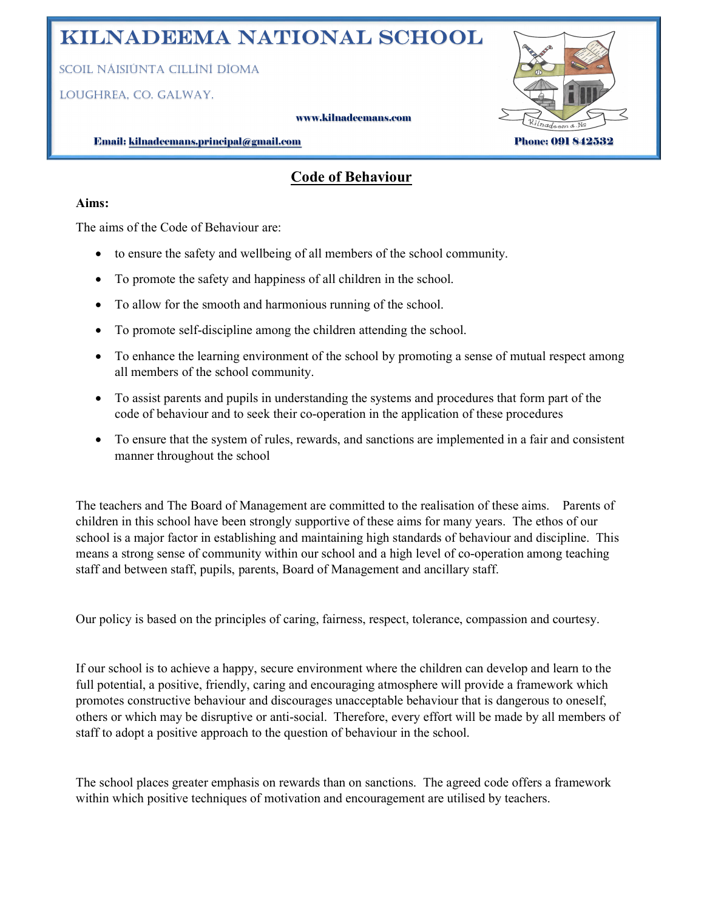# Kilnadeema National School

Scoil NáiSiúNta cillíNí Díoma

loughrea, co. galway.

#### www.kilnadeemans.com



Email: kilnadeemans.principal@gmail.com Phone: 091 842532

## Code of Behaviour

#### Aims:

The aims of the Code of Behaviour are:

- to ensure the safety and wellbeing of all members of the school community.
- To promote the safety and happiness of all children in the school.
- To allow for the smooth and harmonious running of the school.
- To promote self-discipline among the children attending the school.
- To enhance the learning environment of the school by promoting a sense of mutual respect among all members of the school community.
- To assist parents and pupils in understanding the systems and procedures that form part of the code of behaviour and to seek their co-operation in the application of these procedures
- To ensure that the system of rules, rewards, and sanctions are implemented in a fair and consistent manner throughout the school

The teachers and The Board of Management are committed to the realisation of these aims. Parents of children in this school have been strongly supportive of these aims for many years. The ethos of our school is a major factor in establishing and maintaining high standards of behaviour and discipline. This means a strong sense of community within our school and a high level of co-operation among teaching staff and between staff, pupils, parents, Board of Management and ancillary staff.

Our policy is based on the principles of caring, fairness, respect, tolerance, compassion and courtesy.

If our school is to achieve a happy, secure environment where the children can develop and learn to the full potential, a positive, friendly, caring and encouraging atmosphere will provide a framework which promotes constructive behaviour and discourages unacceptable behaviour that is dangerous to oneself, others or which may be disruptive or anti-social. Therefore, every effort will be made by all members of staff to adopt a positive approach to the question of behaviour in the school.

The school places greater emphasis on rewards than on sanctions. The agreed code offers a framework within which positive techniques of motivation and encouragement are utilised by teachers.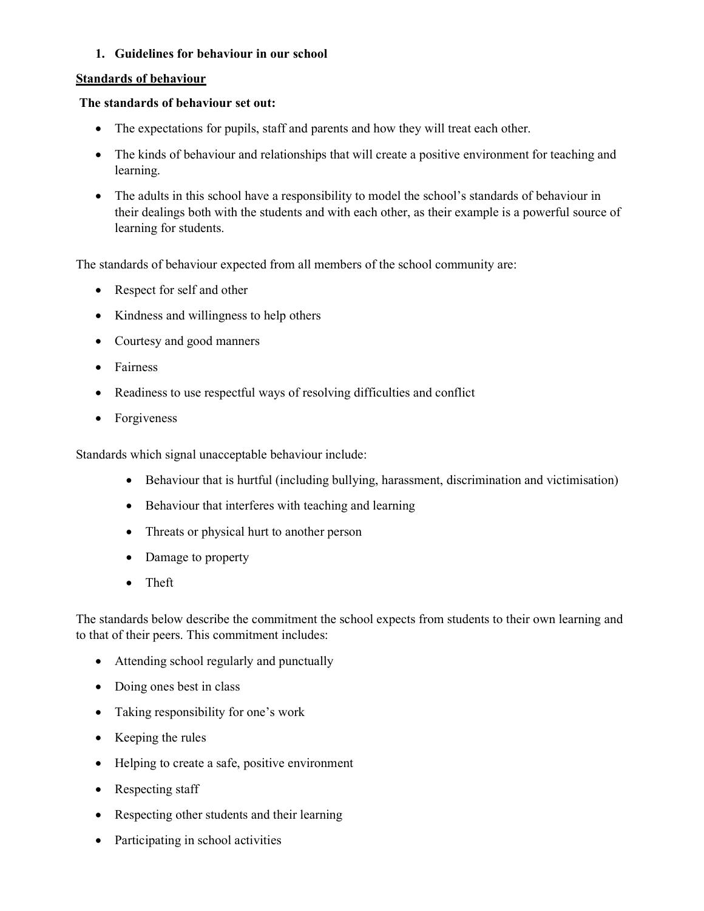#### 1. Guidelines for behaviour in our school

#### Standards of behaviour

#### The standards of behaviour set out:

- The expectations for pupils, staff and parents and how they will treat each other.
- The kinds of behaviour and relationships that will create a positive environment for teaching and learning.
- The adults in this school have a responsibility to model the school's standards of behaviour in their dealings both with the students and with each other, as their example is a powerful source of learning for students.

The standards of behaviour expected from all members of the school community are:

- Respect for self and other
- Kindness and willingness to help others
- Courtesy and good manners
- Fairness
- Readiness to use respectful ways of resolving difficulties and conflict
- Forgiveness

Standards which signal unacceptable behaviour include:

- Behaviour that is hurtful (including bullying, harassment, discrimination and victimisation)
- Behaviour that interferes with teaching and learning
- Threats or physical hurt to another person
- Damage to property
- Theft

The standards below describe the commitment the school expects from students to their own learning and to that of their peers. This commitment includes:

- Attending school regularly and punctually
- Doing ones best in class
- Taking responsibility for one's work
- Keeping the rules
- Helping to create a safe, positive environment
- Respecting staff
- Respecting other students and their learning
- Participating in school activities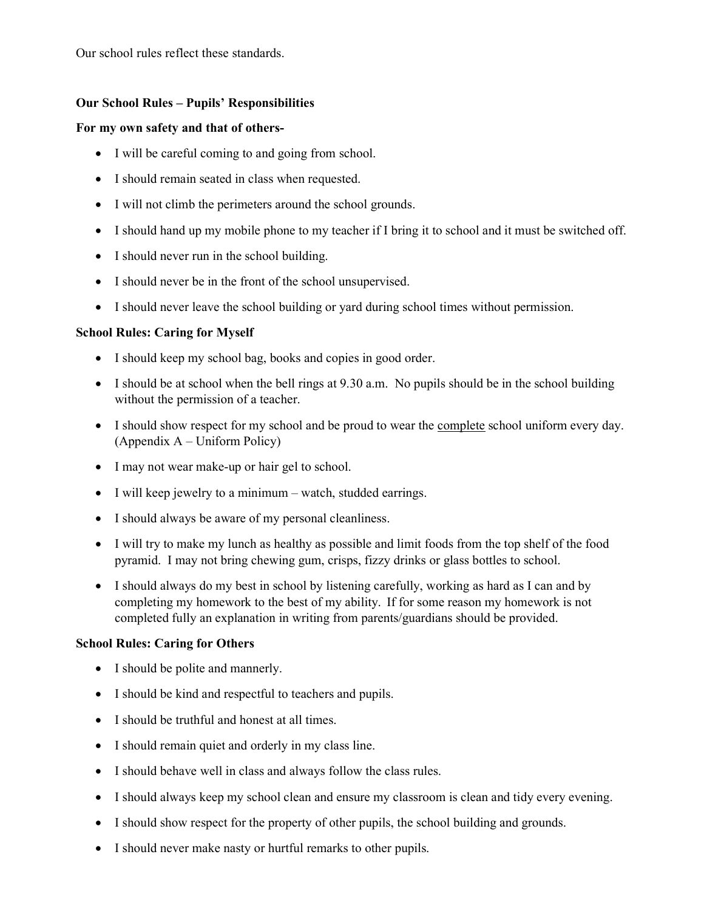Our school rules reflect these standards.

#### Our School Rules – Pupils' Responsibilities

#### For my own safety and that of others-

- I will be careful coming to and going from school.
- I should remain seated in class when requested.
- I will not climb the perimeters around the school grounds.
- I should hand up my mobile phone to my teacher if I bring it to school and it must be switched off.
- I should never run in the school building.
- I should never be in the front of the school unsupervised.
- I should never leave the school building or yard during school times without permission.

#### School Rules: Caring for Myself

- I should keep my school bag, books and copies in good order.
- I should be at school when the bell rings at 9.30 a.m. No pupils should be in the school building without the permission of a teacher.
- I should show respect for my school and be proud to wear the complete school uniform every day. (Appendix A – Uniform Policy)
- I may not wear make-up or hair gel to school.
- I will keep jewelry to a minimum watch, studded earrings.
- I should always be aware of my personal cleanliness.
- I will try to make my lunch as healthy as possible and limit foods from the top shelf of the food pyramid. I may not bring chewing gum, crisps, fizzy drinks or glass bottles to school.
- I should always do my best in school by listening carefully, working as hard as I can and by completing my homework to the best of my ability. If for some reason my homework is not completed fully an explanation in writing from parents/guardians should be provided.

#### School Rules: Caring for Others

- I should be polite and mannerly.
- I should be kind and respectful to teachers and pupils.
- I should be truthful and honest at all times.
- I should remain quiet and orderly in my class line.
- I should behave well in class and always follow the class rules.
- I should always keep my school clean and ensure my classroom is clean and tidy every evening.
- I should show respect for the property of other pupils, the school building and grounds.
- I should never make nasty or hurtful remarks to other pupils.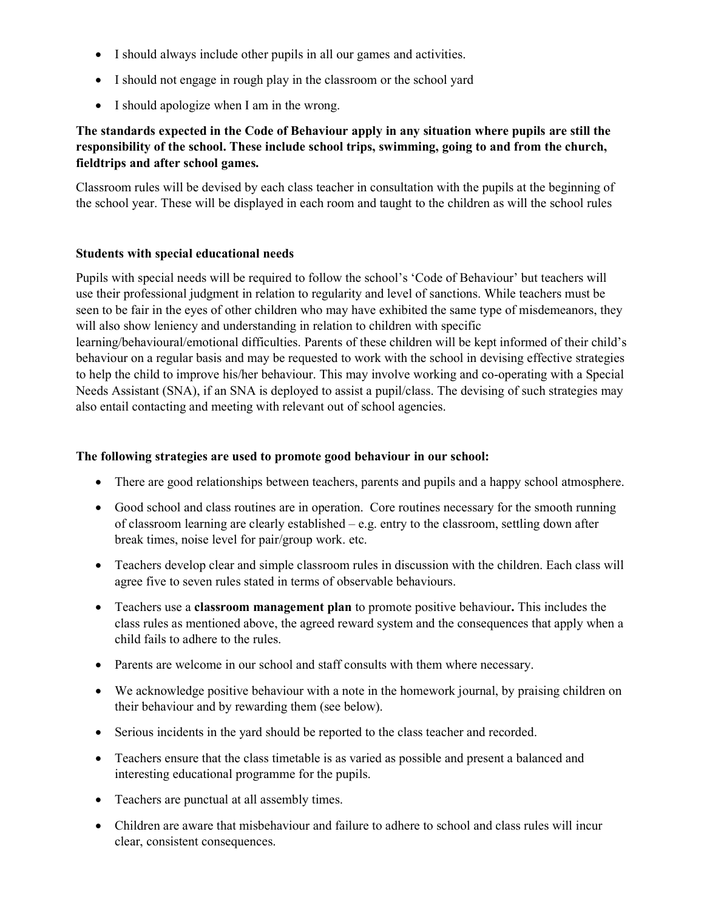- I should always include other pupils in all our games and activities.
- I should not engage in rough play in the classroom or the school yard
- I should apologize when I am in the wrong.

## The standards expected in the Code of Behaviour apply in any situation where pupils are still the responsibility of the school. These include school trips, swimming, going to and from the church, fieldtrips and after school games.

Classroom rules will be devised by each class teacher in consultation with the pupils at the beginning of the school year. These will be displayed in each room and taught to the children as will the school rules

#### Students with special educational needs

Pupils with special needs will be required to follow the school's 'Code of Behaviour' but teachers will use their professional judgment in relation to regularity and level of sanctions. While teachers must be seen to be fair in the eyes of other children who may have exhibited the same type of misdemeanors, they will also show leniency and understanding in relation to children with specific learning/behavioural/emotional difficulties. Parents of these children will be kept informed of their child's

behaviour on a regular basis and may be requested to work with the school in devising effective strategies to help the child to improve his/her behaviour. This may involve working and co-operating with a Special Needs Assistant (SNA), if an SNA is deployed to assist a pupil/class. The devising of such strategies may also entail contacting and meeting with relevant out of school agencies.

#### The following strategies are used to promote good behaviour in our school:

- There are good relationships between teachers, parents and pupils and a happy school atmosphere.
- Good school and class routines are in operation. Core routines necessary for the smooth running of classroom learning are clearly established – e.g. entry to the classroom, settling down after break times, noise level for pair/group work. etc.
- Teachers develop clear and simple classroom rules in discussion with the children. Each class will agree five to seven rules stated in terms of observable behaviours.
- Teachers use a classroom management plan to promote positive behaviour. This includes the class rules as mentioned above, the agreed reward system and the consequences that apply when a child fails to adhere to the rules.
- Parents are welcome in our school and staff consults with them where necessary.
- We acknowledge positive behaviour with a note in the homework journal, by praising children on their behaviour and by rewarding them (see below).
- Serious incidents in the yard should be reported to the class teacher and recorded.
- Teachers ensure that the class timetable is as varied as possible and present a balanced and interesting educational programme for the pupils.
- Teachers are punctual at all assembly times.
- Children are aware that misbehaviour and failure to adhere to school and class rules will incur clear, consistent consequences.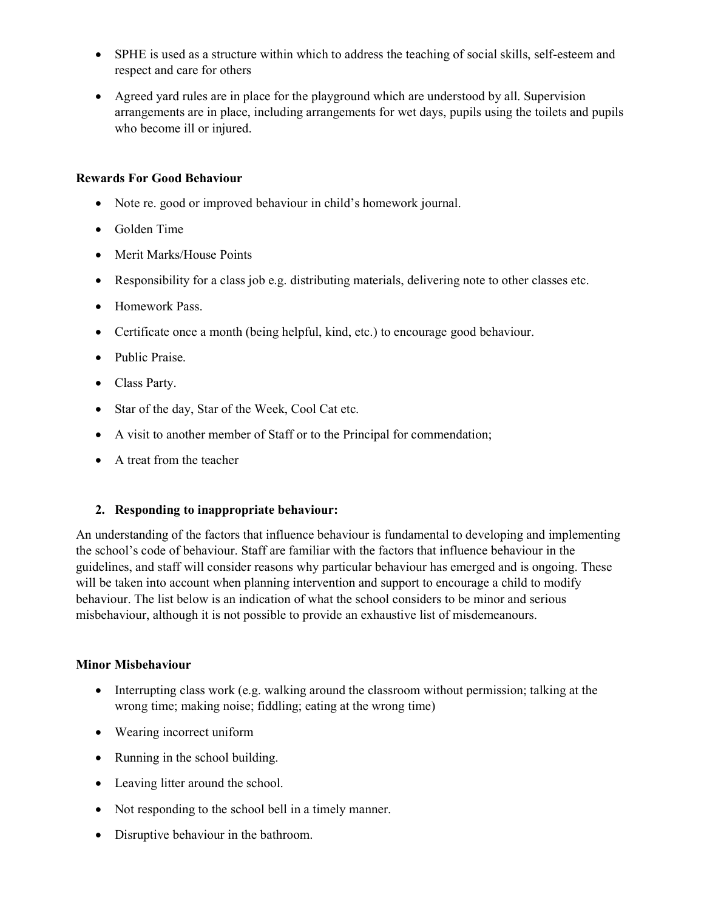- SPHE is used as a structure within which to address the teaching of social skills, self-esteem and respect and care for others
- Agreed yard rules are in place for the playground which are understood by all. Supervision arrangements are in place, including arrangements for wet days, pupils using the toilets and pupils who become ill or injured.

#### Rewards For Good Behaviour

- Note re. good or improved behaviour in child's homework journal.
- Golden Time
- Merit Marks/House Points
- Responsibility for a class job e.g. distributing materials, delivering note to other classes etc.
- Homework Pass.
- Certificate once a month (being helpful, kind, etc.) to encourage good behaviour.
- Public Praise.
- Class Party.
- Star of the day, Star of the Week, Cool Cat etc.
- A visit to another member of Staff or to the Principal for commendation;
- A treat from the teacher

#### 2. Responding to inappropriate behaviour:

An understanding of the factors that influence behaviour is fundamental to developing and implementing the school's code of behaviour. Staff are familiar with the factors that influence behaviour in the guidelines, and staff will consider reasons why particular behaviour has emerged and is ongoing. These will be taken into account when planning intervention and support to encourage a child to modify behaviour. The list below is an indication of what the school considers to be minor and serious misbehaviour, although it is not possible to provide an exhaustive list of misdemeanours.

#### Minor Misbehaviour

- Interrupting class work (e.g. walking around the classroom without permission; talking at the wrong time; making noise; fiddling; eating at the wrong time)
- Wearing incorrect uniform
- Running in the school building.
- Leaving litter around the school.
- Not responding to the school bell in a timely manner.
- Disruptive behaviour in the bathroom.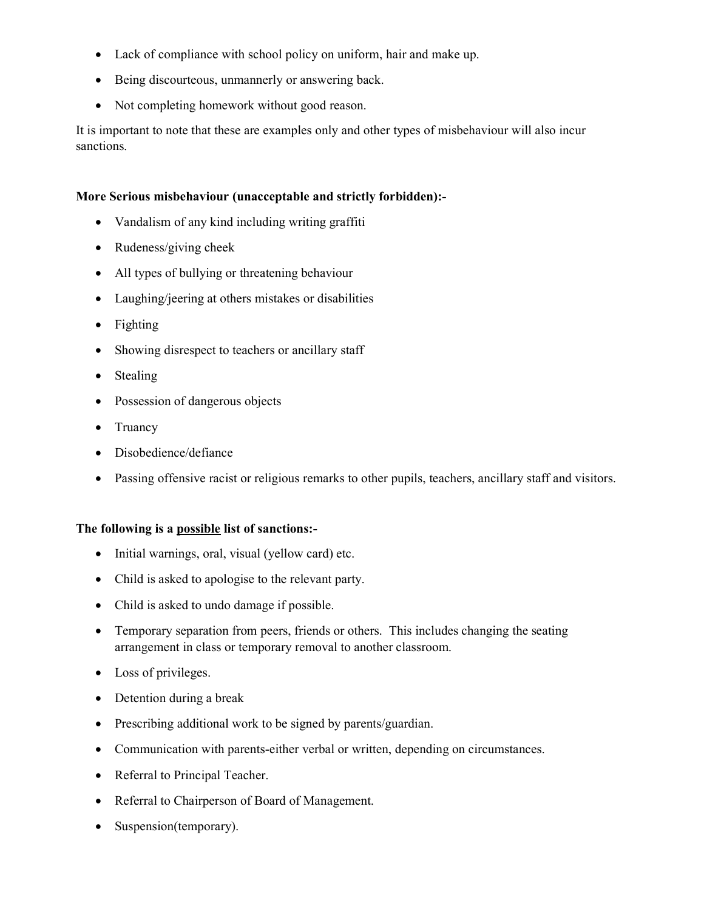- Lack of compliance with school policy on uniform, hair and make up.
- Being discourteous, unmannerly or answering back.
- Not completing homework without good reason.

It is important to note that these are examples only and other types of misbehaviour will also incur sanctions.

#### More Serious misbehaviour (unacceptable and strictly forbidden):-

- Vandalism of any kind including writing graffiti
- Rudeness/giving cheek
- All types of bullying or threatening behaviour
- Laughing/jeering at others mistakes or disabilities
- Fighting
- Showing disrespect to teachers or ancillary staff
- Stealing
- Possession of dangerous objects
- Truancy
- Disobedience/defiance
- Passing offensive racist or religious remarks to other pupils, teachers, ancillary staff and visitors.

#### The following is a possible list of sanctions:-

- Initial warnings, oral, visual (yellow card) etc.
- Child is asked to apologise to the relevant party.
- Child is asked to undo damage if possible.
- Temporary separation from peers, friends or others. This includes changing the seating arrangement in class or temporary removal to another classroom.
- Loss of privileges.
- Detention during a break
- Prescribing additional work to be signed by parents/guardian.
- Communication with parents-either verbal or written, depending on circumstances.
- Referral to Principal Teacher.
- Referral to Chairperson of Board of Management.
- Suspension(temporary).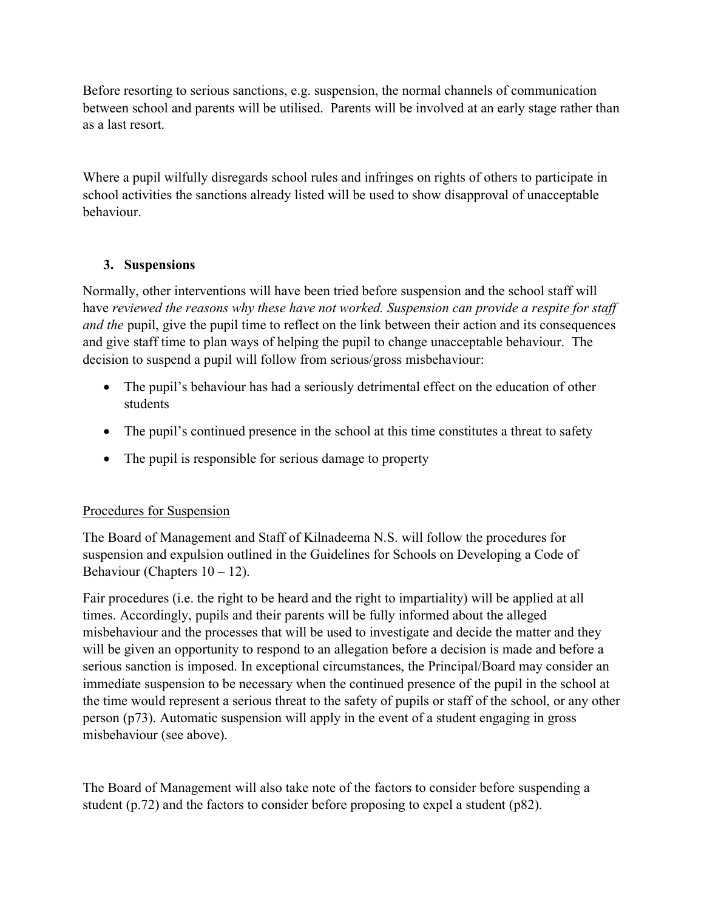Before resorting to serious sanctions, e.g. suspension, the normal channels of communication between school and parents will be utilised. Parents will be involved at an early stage rather than as a last resort.

Where a pupil wilfully disregards school rules and infringes on rights of others to participate in school activities the sanctions already listed will be used to show disapproval of unacceptable behaviour.

## 3. Suspensions

Normally, other interventions will have been tried before suspension and the school staff will have reviewed the reasons why these have not worked. Suspension can provide a respite for staff and the pupil, give the pupil time to reflect on the link between their action and its consequences and give staff time to plan ways of helping the pupil to change unacceptable behaviour. The decision to suspend a pupil will follow from serious/gross misbehaviour:

- The pupil's behaviour has had a seriously detrimental effect on the education of other students
- The pupil's continued presence in the school at this time constitutes a threat to safety
- The pupil is responsible for serious damage to property

## Procedures for Suspension

The Board of Management and Staff of Kilnadeema N.S. will follow the procedures for suspension and expulsion outlined in the Guidelines for Schools on Developing a Code of Behaviour (Chapters  $10 - 12$ ).

Fair procedures (i.e. the right to be heard and the right to impartiality) will be applied at all times. Accordingly, pupils and their parents will be fully informed about the alleged misbehaviour and the processes that will be used to investigate and decide the matter and they will be given an opportunity to respond to an allegation before a decision is made and before a serious sanction is imposed. In exceptional circumstances, the Principal/Board may consider an immediate suspension to be necessary when the continued presence of the pupil in the school at the time would represent a serious threat to the safety of pupils or staff of the school, or any other person (p73). Automatic suspension will apply in the event of a student engaging in gross misbehaviour (see above).

The Board of Management will also take note of the factors to consider before suspending a student (p.72) and the factors to consider before proposing to expel a student (p82).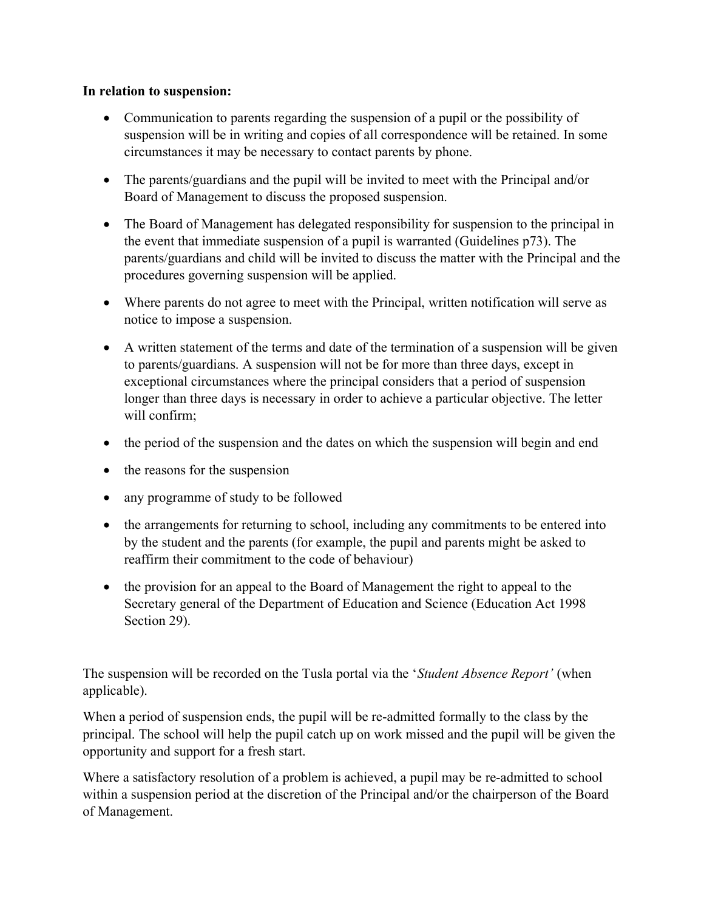### In relation to suspension:

- Communication to parents regarding the suspension of a pupil or the possibility of suspension will be in writing and copies of all correspondence will be retained. In some circumstances it may be necessary to contact parents by phone.
- The parents/guardians and the pupil will be invited to meet with the Principal and/or Board of Management to discuss the proposed suspension.
- The Board of Management has delegated responsibility for suspension to the principal in the event that immediate suspension of a pupil is warranted (Guidelines p73). The parents/guardians and child will be invited to discuss the matter with the Principal and the procedures governing suspension will be applied.
- Where parents do not agree to meet with the Principal, written notification will serve as notice to impose a suspension.
- A written statement of the terms and date of the termination of a suspension will be given to parents/guardians. A suspension will not be for more than three days, except in exceptional circumstances where the principal considers that a period of suspension longer than three days is necessary in order to achieve a particular objective. The letter will confirm;
- the period of the suspension and the dates on which the suspension will begin and end
- the reasons for the suspension
- any programme of study to be followed
- the arrangements for returning to school, including any commitments to be entered into by the student and the parents (for example, the pupil and parents might be asked to reaffirm their commitment to the code of behaviour)
- the provision for an appeal to the Board of Management the right to appeal to the Secretary general of the Department of Education and Science (Education Act 1998 Section 29).

The suspension will be recorded on the Tusla portal via the 'Student Absence Report' (when applicable).

When a period of suspension ends, the pupil will be re-admitted formally to the class by the principal. The school will help the pupil catch up on work missed and the pupil will be given the opportunity and support for a fresh start.

Where a satisfactory resolution of a problem is achieved, a pupil may be re-admitted to school within a suspension period at the discretion of the Principal and/or the chairperson of the Board of Management.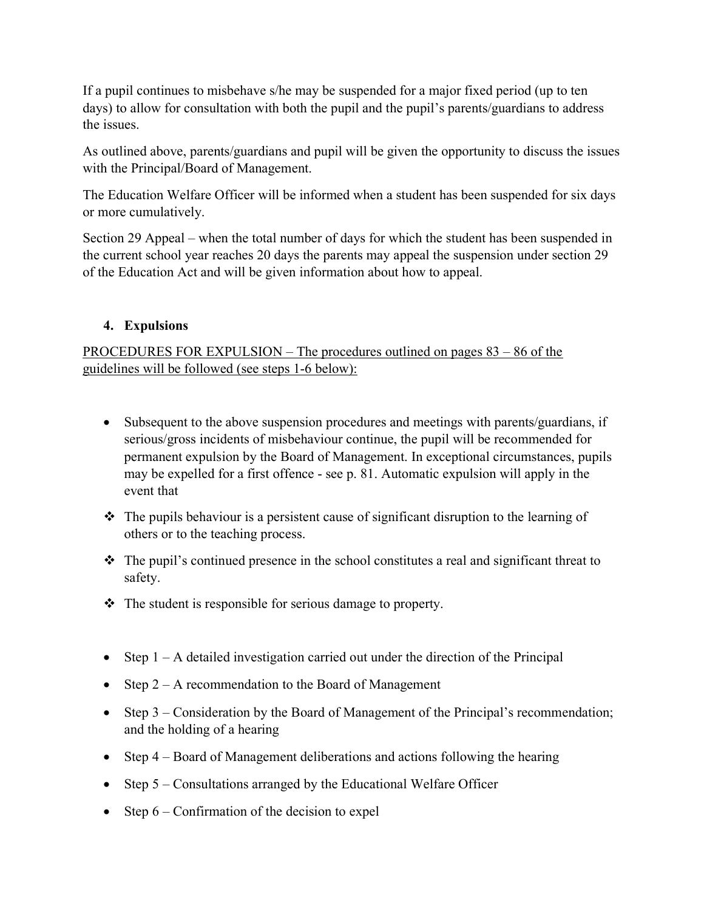If a pupil continues to misbehave s/he may be suspended for a major fixed period (up to ten days) to allow for consultation with both the pupil and the pupil's parents/guardians to address the issues.

As outlined above, parents/guardians and pupil will be given the opportunity to discuss the issues with the Principal/Board of Management.

The Education Welfare Officer will be informed when a student has been suspended for six days or more cumulatively.

Section 29 Appeal – when the total number of days for which the student has been suspended in the current school year reaches 20 days the parents may appeal the suspension under section 29 of the Education Act and will be given information about how to appeal.

## 4. Expulsions

PROCEDURES FOR EXPULSION – The procedures outlined on pages 83 – 86 of the guidelines will be followed (see steps 1-6 below):

- Subsequent to the above suspension procedures and meetings with parents/guardians, if serious/gross incidents of misbehaviour continue, the pupil will be recommended for permanent expulsion by the Board of Management. In exceptional circumstances, pupils may be expelled for a first offence - see p. 81. Automatic expulsion will apply in the event that
- The pupils behaviour is a persistent cause of significant disruption to the learning of others or to the teaching process.
- The pupil's continued presence in the school constitutes a real and significant threat to safety.
- $\triangle$  The student is responsible for serious damage to property.
- Step  $1 A$  detailed investigation carried out under the direction of the Principal
- Step  $2 A$  recommendation to the Board of Management
- Step 3 Consideration by the Board of Management of the Principal's recommendation; and the holding of a hearing
- Step 4 Board of Management deliberations and actions following the hearing
- Step  $5$  Consultations arranged by the Educational Welfare Officer
- Step  $6$  Confirmation of the decision to expel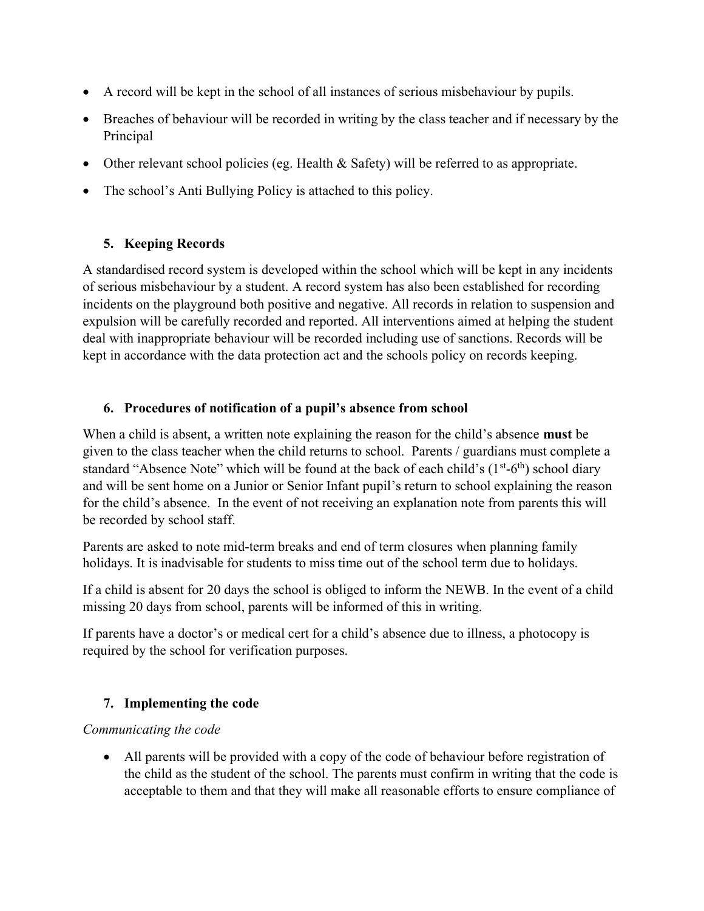- A record will be kept in the school of all instances of serious misbehaviour by pupils.
- Breaches of behaviour will be recorded in writing by the class teacher and if necessary by the Principal
- Other relevant school policies (eg. Health & Safety) will be referred to as appropriate.
- The school's Anti Bullying Policy is attached to this policy.

## 5. Keeping Records

A standardised record system is developed within the school which will be kept in any incidents of serious misbehaviour by a student. A record system has also been established for recording incidents on the playground both positive and negative. All records in relation to suspension and expulsion will be carefully recorded and reported. All interventions aimed at helping the student deal with inappropriate behaviour will be recorded including use of sanctions. Records will be kept in accordance with the data protection act and the schools policy on records keeping.

## 6. Procedures of notification of a pupil's absence from school

When a child is absent, a written note explaining the reason for the child's absence **must** be given to the class teacher when the child returns to school. Parents / guardians must complete a standard "Absence Note" which will be found at the back of each child's  $(1<sup>st</sup>-6<sup>th</sup>)$  school diary and will be sent home on a Junior or Senior Infant pupil's return to school explaining the reason for the child's absence. In the event of not receiving an explanation note from parents this will be recorded by school staff.

Parents are asked to note mid-term breaks and end of term closures when planning family holidays. It is inadvisable for students to miss time out of the school term due to holidays.

If a child is absent for 20 days the school is obliged to inform the NEWB. In the event of a child missing 20 days from school, parents will be informed of this in writing.

If parents have a doctor's or medical cert for a child's absence due to illness, a photocopy is required by the school for verification purposes.

## 7. Implementing the code

## Communicating the code

 All parents will be provided with a copy of the code of behaviour before registration of the child as the student of the school. The parents must confirm in writing that the code is acceptable to them and that they will make all reasonable efforts to ensure compliance of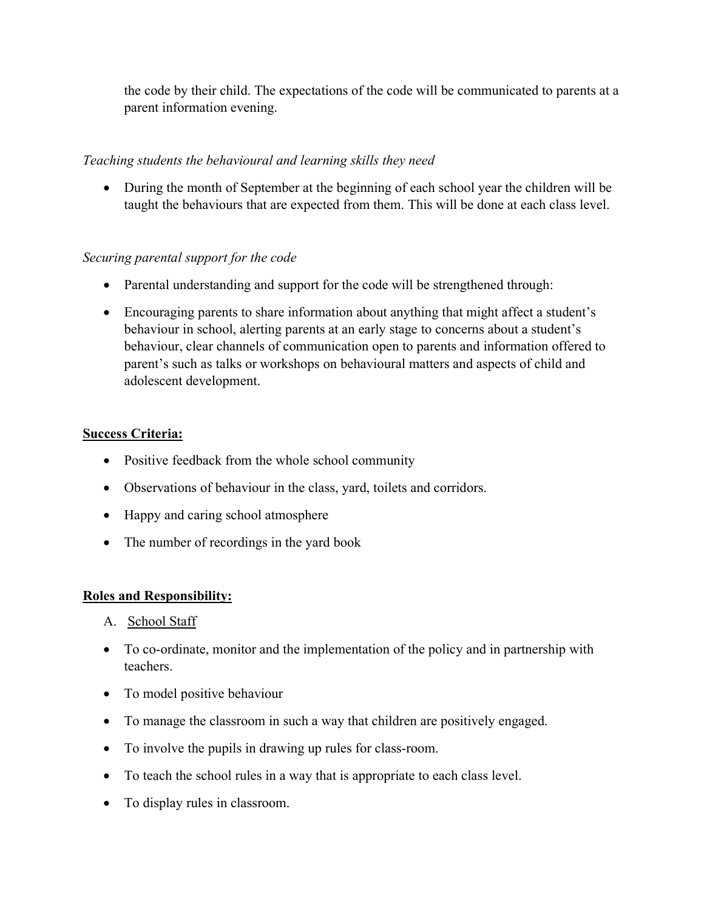the code by their child. The expectations of the code will be communicated to parents at a parent information evening.

## Teaching students the behavioural and learning skills they need

• During the month of September at the beginning of each school year the children will be taught the behaviours that are expected from them. This will be done at each class level.

## Securing parental support for the code

- Parental understanding and support for the code will be strengthened through:
- Encouraging parents to share information about anything that might affect a student's behaviour in school, alerting parents at an early stage to concerns about a student's behaviour, clear channels of communication open to parents and information offered to parent's such as talks or workshops on behavioural matters and aspects of child and adolescent development.

## Success Criteria:

- Positive feedback from the whole school community
- Observations of behaviour in the class, yard, toilets and corridors.
- Happy and caring school atmosphere
- The number of recordings in the yard book

## Roles and Responsibility:

- A. School Staff
- To co-ordinate, monitor and the implementation of the policy and in partnership with teachers.
- To model positive behaviour
- To manage the classroom in such a way that children are positively engaged.
- To involve the pupils in drawing up rules for class-room.
- To teach the school rules in a way that is appropriate to each class level.
- To display rules in classroom.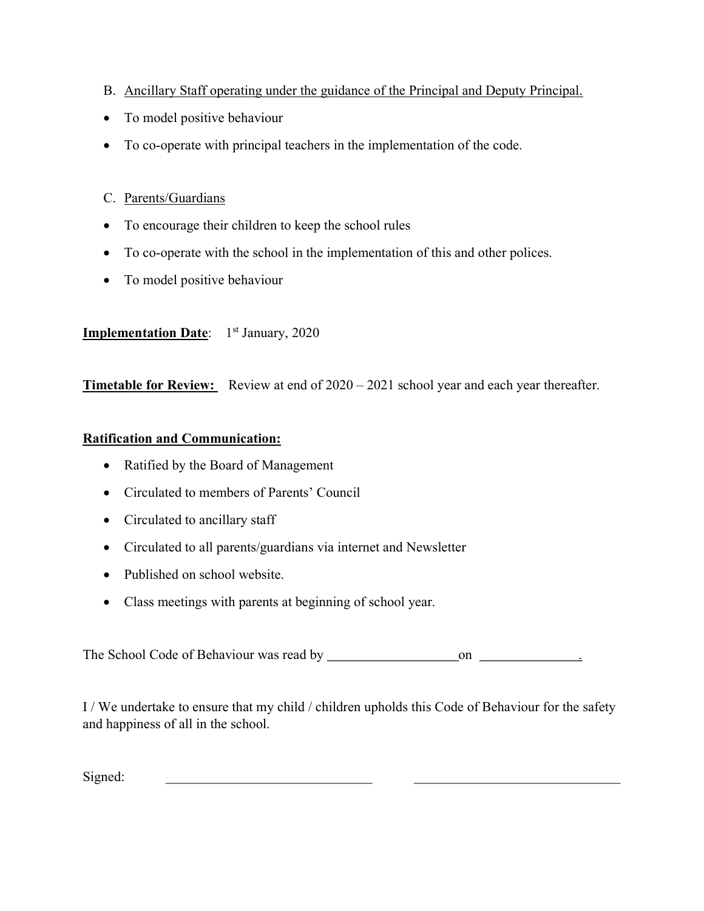- B. Ancillary Staff operating under the guidance of the Principal and Deputy Principal.
- To model positive behaviour
- To co-operate with principal teachers in the implementation of the code.
- C. Parents/Guardians
- To encourage their children to keep the school rules
- To co-operate with the school in the implementation of this and other polices.
- To model positive behaviour

## **Implementation Date:** 1<sup>st</sup> January, 2020

**Timetable for Review:** Review at end of 2020 – 2021 school year and each year thereafter.

## Ratification and Communication:

- Ratified by the Board of Management
- Circulated to members of Parents' Council
- Circulated to ancillary staff
- Circulated to all parents/guardians via internet and Newsletter
- Published on school website.
- Class meetings with parents at beginning of school year.

The School Code of Behaviour was read by on .

I / We undertake to ensure that my child / children upholds this Code of Behaviour for the safety and happiness of all in the school.

Signed: